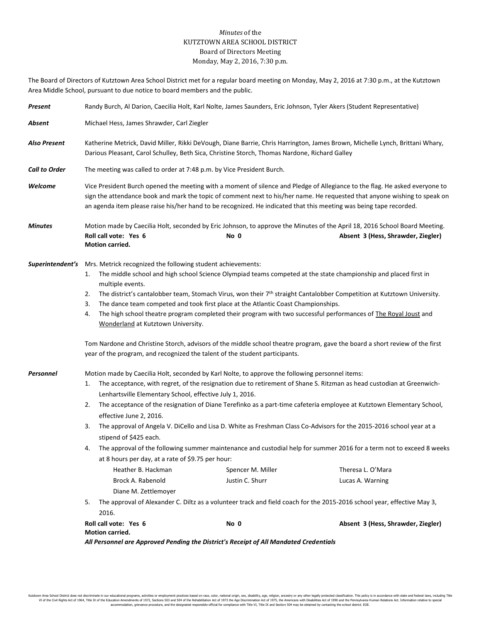## *Minutes* of the KUTZTOWN AREA SCHOOL DISTRICT Board of Directors Meeting Monday, May 2, 2016, 7:30 p.m.

The Board of Directors of Kutztown Area School District met for a regular board meeting on Monday, May 2, 2016 at 7:30 p.m., at the Kutztown Area Middle School, pursuant to due notice to board members and the public.

| Present              | Randy Burch, Al Darion, Caecilia Holt, Karl Nolte, James Saunders, Eric Johnson, Tyler Akers (Student Representative)                                                                                                                                                                                                                                                                                                                                                                                                                                                                                                                                                                                                                                                                                                                                                                                                                                                                                                                                                                                                          |      |                                                                                                                                                                  |  |
|----------------------|--------------------------------------------------------------------------------------------------------------------------------------------------------------------------------------------------------------------------------------------------------------------------------------------------------------------------------------------------------------------------------------------------------------------------------------------------------------------------------------------------------------------------------------------------------------------------------------------------------------------------------------------------------------------------------------------------------------------------------------------------------------------------------------------------------------------------------------------------------------------------------------------------------------------------------------------------------------------------------------------------------------------------------------------------------------------------------------------------------------------------------|------|------------------------------------------------------------------------------------------------------------------------------------------------------------------|--|
| Absent               | Michael Hess, James Shrawder, Carl Ziegler                                                                                                                                                                                                                                                                                                                                                                                                                                                                                                                                                                                                                                                                                                                                                                                                                                                                                                                                                                                                                                                                                     |      |                                                                                                                                                                  |  |
| <b>Also Present</b>  | Katherine Metrick, David Miller, Rikki DeVough, Diane Barrie, Chris Harrington, James Brown, Michelle Lynch, Brittani Whary,<br>Darious Pleasant, Carol Schulley, Beth Sica, Christine Storch, Thomas Nardone, Richard Galley                                                                                                                                                                                                                                                                                                                                                                                                                                                                                                                                                                                                                                                                                                                                                                                                                                                                                                  |      |                                                                                                                                                                  |  |
| <b>Call to Order</b> | The meeting was called to order at 7:48 p.m. by Vice President Burch.                                                                                                                                                                                                                                                                                                                                                                                                                                                                                                                                                                                                                                                                                                                                                                                                                                                                                                                                                                                                                                                          |      |                                                                                                                                                                  |  |
| Welcome              | Vice President Burch opened the meeting with a moment of silence and Pledge of Allegiance to the flag. He asked everyone to<br>sign the attendance book and mark the topic of comment next to his/her name. He requested that anyone wishing to speak on<br>an agenda item please raise his/her hand to be recognized. He indicated that this meeting was being tape recorded.                                                                                                                                                                                                                                                                                                                                                                                                                                                                                                                                                                                                                                                                                                                                                 |      |                                                                                                                                                                  |  |
| <b>Minutes</b>       | Roll call vote: Yes 6<br>Motion carried.                                                                                                                                                                                                                                                                                                                                                                                                                                                                                                                                                                                                                                                                                                                                                                                                                                                                                                                                                                                                                                                                                       | No 0 | Motion made by Caecilia Holt, seconded by Eric Johnson, to approve the Minutes of the April 18, 2016 School Board Meeting.<br>Absent 3 (Hess, Shrawder, Ziegler) |  |
|                      | <b>Superintendent's</b> Mrs. Metrick recognized the following student achievements:<br>The middle school and high school Science Olympiad teams competed at the state championship and placed first in<br>1.<br>multiple events.<br>The district's cantalobber team, Stomach Virus, won their 7 <sup>th</sup> straight Cantalobber Competition at Kutztown University.<br>2.<br>The dance team competed and took first place at the Atlantic Coast Championships.<br>3.<br>The high school theatre program completed their program with two successful performances of The Royal Joust and<br>4.<br>Wonderland at Kutztown University.<br>Tom Nardone and Christine Storch, advisors of the middle school theatre program, gave the board a short review of the first<br>year of the program, and recognized the talent of the student participants.                                                                                                                                                                                                                                                                           |      |                                                                                                                                                                  |  |
| Personnel            | Motion made by Caecilia Holt, seconded by Karl Nolte, to approve the following personnel items:<br>The acceptance, with regret, of the resignation due to retirement of Shane S. Ritzman as head custodian at Greenwich-<br>1.<br>Lenhartsville Elementary School, effective July 1, 2016.<br>The acceptance of the resignation of Diane Terefinko as a part-time cafeteria employee at Kutztown Elementary School,<br>2.<br>effective June 2, 2016.<br>The approval of Angela V. DiCello and Lisa D. White as Freshman Class Co-Advisors for the 2015-2016 school year at a<br>3.<br>stipend of \$425 each.<br>The approval of the following summer maintenance and custodial help for summer 2016 for a term not to exceed 8 weeks<br>4.<br>at 8 hours per day, at a rate of \$9.75 per hour:<br>Heather B. Hackman<br>Theresa L. O'Mara<br>Spencer M. Miller<br>Brock A. Rabenold<br>Justin C. Shurr<br>Lucas A. Warning<br>Diane M. Zettlemoyer<br>The approval of Alexander C. Diltz as a volunteer track and field coach for the 2015-2016 school year, effective May 3,<br>5.<br>2016.<br>Roll call vote: Yes 6<br>No 0 |      | Absent 3 (Hess, Shrawder, Ziegler)                                                                                                                               |  |
|                      | Motion carried.                                                                                                                                                                                                                                                                                                                                                                                                                                                                                                                                                                                                                                                                                                                                                                                                                                                                                                                                                                                                                                                                                                                |      |                                                                                                                                                                  |  |

*All Personnel are Approved Pending the District's Receipt of All Mandated Credentials*